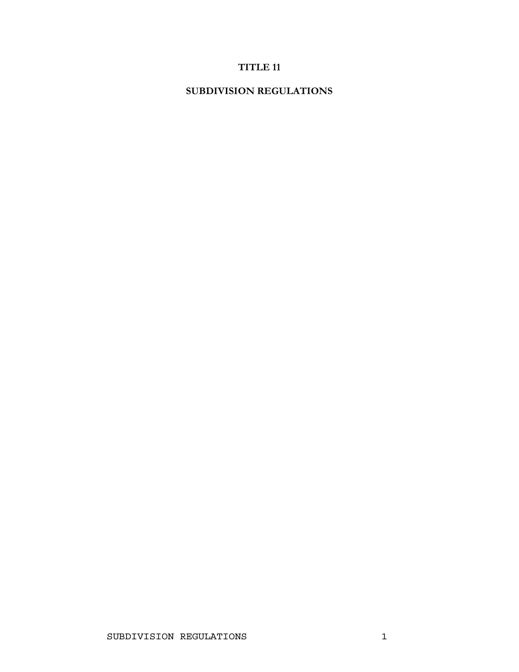### **<sup>11</sup> SUBDIVISION**

### **SUBDIVISION REGULATIONS**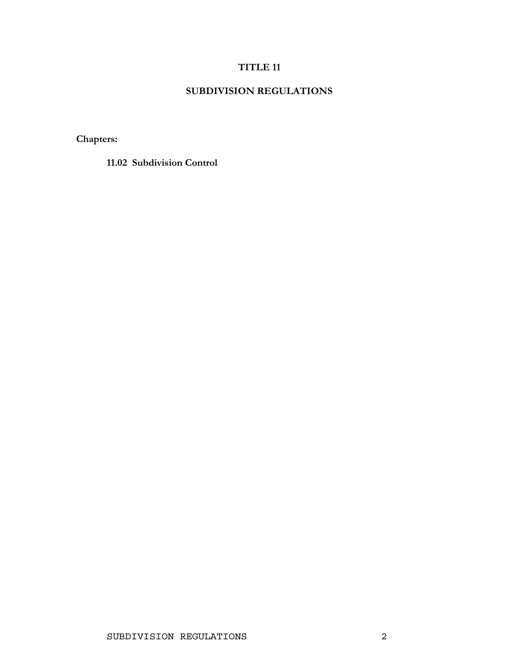### **1111 SUBDIVISION**

### **SUBDIVISION REGULATIONS**

Chapters:

11.02 Subdivision Control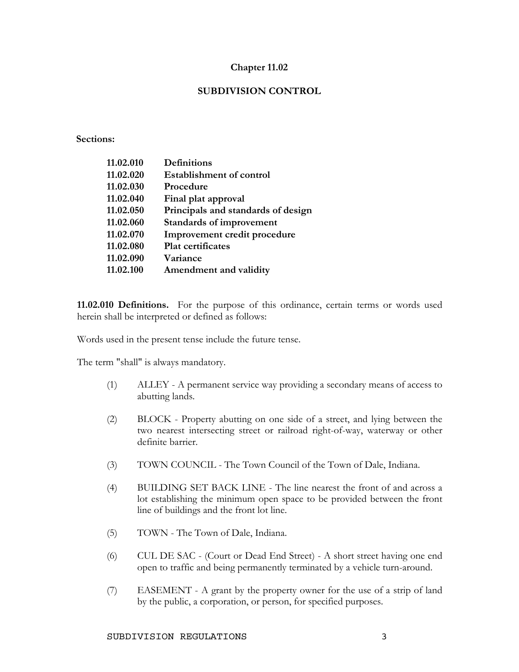#### **11.02** Suppose **Suppose**

### **SUBDIVISION CONTROL**

# **11.02.01**

| 11.02.010 | <b>Definitions</b>                 |  |
|-----------|------------------------------------|--|
| 11.02.020 | <b>Establishment of control</b>    |  |
| 11.02.030 | Procedure                          |  |
| 11.02.040 | Final plat approval                |  |
| 11.02.050 | Principals and standards of design |  |
| 11.02.060 | <b>Standards of improvement</b>    |  |
| 11.02.070 | Improvement credit procedure       |  |
| 11.02.080 | <b>Plat certificates</b>           |  |
| 11.02.090 | Variance                           |  |
| 11.02.100 | Amendment and validity             |  |

**11.02.010 Definitions.** For the purpose of this ordinance, certain terms or words used herein shall be interpreted or defined as follows: herein shall be interpreted or defined as follows:

Words used in the present tense include the future tense.

 term "shall" is always mandatory.  $\mathbf{u}$ 

- ALLEY <sup>A</sup> permanent service way providing <sup>a</sup> secondary means of access to abutting lands.  $(1)$
- BLOCK Property abutting on one side of <sup>a</sup> street, and lying between the two nearest intersecting street or railroad right-of-way, waterway or other  $(2)$ blook Tiopen,<br>two nearest interse<br>definite barrier. definite barrier.<br>TOWN COUNCIL - The Town Council of the Town of Dale, Indiana.
- $(3)$
- BUILDING SET BACK LINE The line nearest the front of and across <sup>a</sup> lot establishing the minimum open space to be provided between the front  $(4)$ LIGHT OUT DITCH LINE THE THE HISTORIC DURING OUT DITCH LINE THE THE THE HISTORIC LINE. line of buildings and the front lot line.<br>TOWN - The Town of Dale, Indiana.
- (6)
- CUL DE SAC (Court or Dead End Street) <sup>A</sup> short street having one end open to traffic and being permanently terminated by <sup>a</sup> vehicle turn-around.  $(6)$
- EASEMENT <sup>A</sup> grant by the property owner for the use of <sup>a</sup> strip of land by the public, <sup>a</sup> corporation, or person, for specified purposes. $(7)$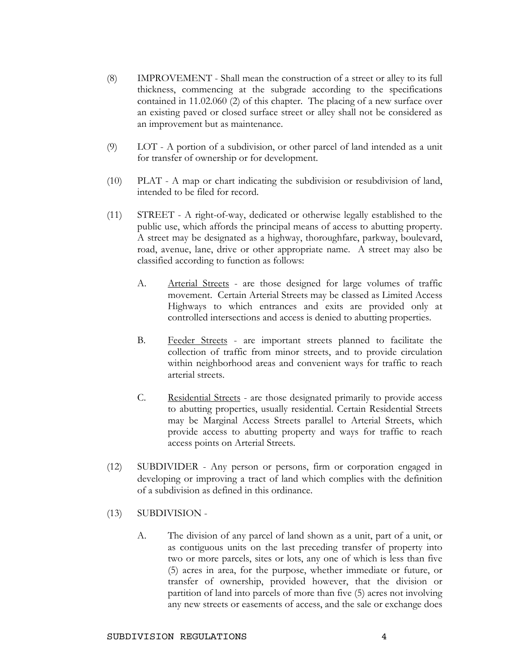- IMPROVEMENT Shall mean the construction of <sup>a</sup> street or alley to its full thickness, commencing at the subgrade according to the specifications  $(8)$ contained in 11.02.060 (2) of this chapter. The placing of a new surface over  $\frac{1}{2}$  contained in 11.02.060 (2) of this chapter. The placing of a new surface over an existing paved or closed surface street or alley shall not be considered as an existing paved or closed surface stree<br>an improvement but as maintenance.
- LOT <sup>A</sup> portion of <sup>a</sup> subdivision, or other parcel of land intended as <sup>a</sup> unit for transfer of ownership or for development.  $(9)$
- PLAT A map or chart indicating the subdivision or resubdivision of land. A map or chart indicating<br>to be filed for record.  $(10)$
- STREET A right-of-way, dedicated or otherwise legally established to the<br>public use, which affords the principal means of access to abutting property.  $(11)$ public use, which affords the principal means of access to abutting property. A street may be designated as a highway, thoroughfare, parkway, boulevard, reference thay be designated as a highway, thought<br>road, avenue, lane, drive or other appropriate<br>classified according to function as follows: classified according to function as follows:
	- Arterial Streets are those designed for large volumes of traffic movement. Certain Arterial Streets may be classed as Limited Access А. Highways to which entrances and exits are provided only at<br>Highways to which entrances and exits are provided only at controlled intersections and access is denied to abutting properties.
	- Feeder Streets are important streets planned to facilitate the<br>collection of traffic from minor streets, and to provide circulation **B.** reduct of traffic from minor streets planned to had the collection of traffic from minor streets, and to provide circulation within neighborhood areas and convenient ways for traffic to reach concentrion of that<br>within neighborhometers.
	- Residential Streets are those designated primarily to provide access to abutting properties, usually residential. Certain Residential Streets  $C_{\cdot}$ may be Marginal Access Streets parallel to Arterial Streets, which<br>may be Marginal Access Streets parallel to Arterial Streets, which provide access to abutting properties, usually restatements. Secret respectively and ways for traffic to reach<br>provide access to abutting property and ways for traffic to reach may be marginal recess streets pa<br>provide access to abutting propert<br>access points on Arterial Streets.
- SUBDIVIDER Any person or persons, firm or corporation engaged in<br>developing or improving a tract of land which complies with the definition  $(12)$ of a subdivision as defined in this ordinance. of a subdivision as defined in this ordinance.<br>SUBDIVISION -
- $(13)$ 
	- The division of any parcel of land shown as a unit, part of a unit, or<br>as contiguous units on the last preceding transfer of property into  $A_{-}$ the division of any parcel of land shown as a dilit, part of a dilit, of<br>as contiguous units on the last preceding transfer of property into<br>two or more parcels, sites or lots, any one of which is less than five As coniguous aims on the last preceding transfer or property line<br>two or more parcels, sites or lots, any one of which is less than five<br>(5) acres in area, for the purpose, whether immediate or future, or two of more pareels, sites of lots, any one of which is less than live<br>(5) acres in area, for the purpose, whether immediate or future, or<br>transfer of ownership, provided however, that the division or  $(5)$  acres in area, for the parpose, whence infined the division or transfer of ownership, provided however, that the division or partition of land into parcels of more than five  $(5)$  acres not involving relative of ownership, provided however, that the division of<br>partition of land into parcels of more than five (5) acres not involving<br>any new streets or easements of access, and the sale or exchange does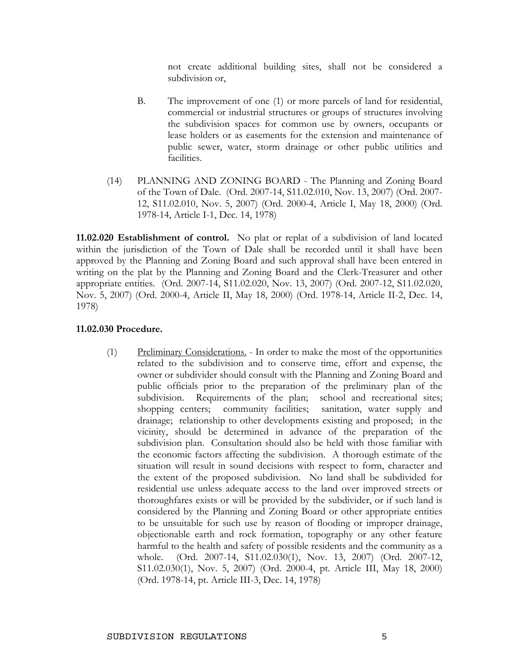not create additional building sites, shall not be considered a subdivision or,

- Subdivision or,<br>The improvement of one (1) or more parcels of land for residential. ement of one (1) or more parcels of land for residential,<br>or industrial structures or groups of structures involving B. the improvement of one  $\left(1\right)$  of more parcels of tand for residential,<br>commercial or industrial structures or groups of structures involving<br>the subdivision spaces for common use by owners, occupants or Lease holders or as easements for the extension and maintenance of lease holders or as easements for the extension and maintenance of public sewer, water, storm drainage or other public utilities and<br>public sewer, water, storm drainage or other public utilities and public sewer, water, storm drainage or other public utilities and
- racinities.<br>PLANNING AND ZONING BOARD The Planning and Zoning Board<br>of the Town of Dale. (Ord. 2007-14, S11.02.010, Nov. 13, 2007) (Ord. 2007- $(14)$ of the Town of Dale. (Ord. 2007-14, S11.02.010, Nov. 13, 2007) (Ord. 2007-12, S11.02.010, Nov. 5, 2007) (Ord. 2000-4, Article I, May 18, 2000) (Ord. 1978-14, Article I-1, Dec. 14, 1978)

**Example 2.020** Establishment of control. No plat or replat of a subdivision of land located within the jurisdiction of the Town of Dale shall be recorded until it shall have been approved by the Planning and Zoning. The Patt of a subdivision of fail focated<br>approved by the Planning and Zoning Board and such approval shall have been entered in writing on the plans and a control of the Planning and Zoning Board and such approval shall have been entered in<br>writing on the plat by the Planning and Zoning Board and the Clerk-Treasurer and other approved by the Flaming and Zoning Board and such approval shall have been entered in<br>writing on the plat by the Planning and Zoning Board and the Clerk-Treasurer and other<br>appropriate entities. (Ord. 2007-14, S11.02.020, appropriate entities. (Ord. 2007-14, S11.02.020, Nov. 13, 2007) (Ord. 2007-12, S11.02.020, Nov. 5, 2007) (Ord. 2000-4, Article II, May 18, 2000) (Ord. 1978-14, Article II-2, Dec. 14, **1978**)

# **Procedure.**  $\overline{\phantom{a}}$

Preliminary Considerations. - In order to make the most of the opportunities<br>related to the subdivision and to conserve time, effort and expense, the  $(1)$ **EXEMINARY CONSIDERATIONS.** The OCCET CO THARCE THE INDICATE OF THE OPPORTUNITIES related to the subdivision and to conserve time, effort and expense, the owner or subdivider should consult with the Planning and Zoning Boa public officials prior to the preparation of the preliminary plan of the public officials prior to the preparation of the preliminary plan of the subdivision. Requirements of the preparation of the preliminary plan of the subdivision. Requirements of the plan; school and recreational sites; plant of the and profile of the preparation of the premiumary plant of the<br>subdivision. Requirements of the plan; school and recreational sites;<br>shopping centers: community facilities: sanitation, water supply and drainage: relationship to other developments existing and proposed: in the drainage: relationship to other developments existing and proposed: in the vicinity, should be determined in advance of the preparation of the vicinity, should be determined in advance of the preparation of the examples of the preparation of the subdivision plan. Consultation should also be held with those familiar with subdivision plan. Consultation should also be held with those familiar with the economic factors affecting the subdivision. A thorough estimate of the subdivision plan. Consultation should also be field with those familiar with<br>the economic factors affecting the subdivision. A thorough estimate of the<br>situation will result in sound decisions with respect to form, charact the extent of the proposed subdivision. No land shall be subdivided for the extent of the proposed subdivision. No land shall be subdivided for residential use unless adequate access to the land over improved streets or residential use unless adequate access to the land over improved streets or the extent of the proposed subdivision. Two failed shall be subdivided for<br>residential use unless adequate access to the land over improved streets or<br>thoroughfares exists or will be provided by the subdivider, or if such residential use unless adequate access to the land over improved streets of<br>thoroughfares exists or will be provided by the subdivider, or if such land is<br>considered by the Planning and Zoning Board or other appropriate en to be unsuitable for such use by reason of flooding or impropriate entities<br>to be unsuitable for such use by reason of flooding or improper drainage. to be unsuitable for such use by reason of flooding or improper drainage, to be distinuate for such use by reason of hooding of improper diamage,<br>objectionable earth and rock formation, topography or any other feature<br>harmful to the health and safety of possible residents and the community as a be be calculated to the health and safety of possible residents and the community as a whole. (Ord. 2007-14, S11.02.030(1), Nov. 13, 2007) (Ord. 2007-12, (Ord. 2007-14, S11.02.030(1), Nov. 13, 2007) (Ord. 2007-12, whole: (Ord. 2007-14, 011.02.030(1), 130<br>S11.02.030(1), Nov. 5, 2007) (Ord. 2000-4, <sub>1</sub><br>(Ord. 1978-14, pt. Article III-3, Dec. 14, 1978)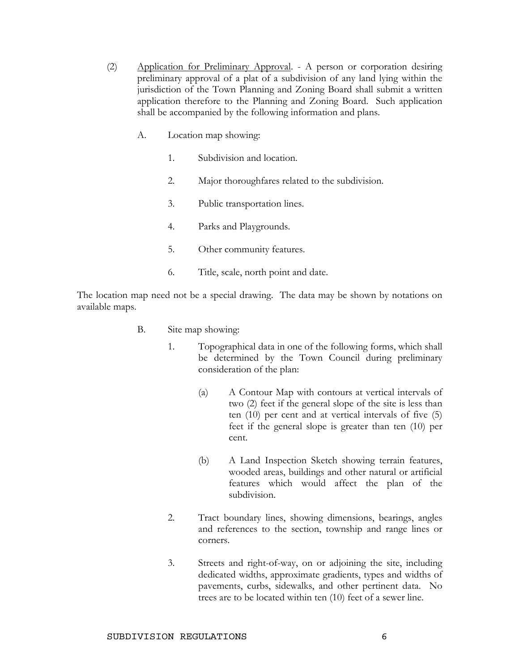- Application for Preliminary Approval. A person or corporation desiring<br>preliminary approval of a plat of a subdivision of any land lying within the  $(2)$  $\frac{1}{2}$  increases to the Town Planning and Zoning Board shall submit a written<br>iurisdiction of the Town Planning and Zoning Board shall submit a written premiumary approval of a plat of a subdivision of any land fying width the<br>jurisdiction of the Town Planning and Zoning Board shall submit a written<br>application therefore to the Planning and Zoning Board. Such application application of the Town Framing and Zoning board shall subh<br>application therefore to the Planning and Zoning Board. Such<br>shall be accompanied by the following information and plans.
	- Location map showing:  $A_{\cdot}$  $\overline{a}$ 
		- 1. Subdivision and location.
		- 2. Major thoroughfares related to the subdivision.
		- 3. Public transportation lines.
		- 4. Parks and Playgrounds.
		- 5. Other community features.
		- 6. Title, scale, north point and date.

The location map need not be a special drawing. The data may be shown by notations on available maps.

- Site map showing: 1. $\mathbf{B}$ 
	- Topographical data in one of the following forms, which shall be determined by the Town Council during preliminary  $\mathbf{1}$ ropographical data in one of<br>be determined by the Tow<br>consideration of the plan: consideration of the plan:
		- <sup>A</sup> Contour Map with contours at vertical intervals of two (2) feet if the general slope of the site is less than  $(a)$ the combined map with contours at vertical intervals of  $f(w)$  (2) feet if the general slope of the site is less than ten (10) per cent and at vertical intervals of five (5) feet if the general slope of the site is less than<br>ten  $(10)$  per cent and at vertical intervals of five  $(5)$ <br>feet if the general slope is greater than ten  $(10)$  per feet if the general slope is greater than ten  $(10)$  per cent.<br>A Land Inspection Sketch showing terrain features,
	- A Land Inspection Sketch showing terrain features,<br>wooded areas, buildings and other natural or artificial<br>features which would affect the plan of the  $(b)$ features which would affect the plan of the  $30001$   $151011$ .
	- Tract boundary lines, showing dimensions, bearings, angles and references to the section, township and range lines or  $2.$ and references to the section, township and range lines or comers.
	- Streets and right-of-way, on or adjoining the site, including dedicated widths, approximate gradients, types and widths of 3. parcets and right-or-way, on or adjoining the site, including<br>dedicated widths, approximate gradients, types and widths of<br>pavements, curbs, sidewalks, and other pertinent data. No pavements, curbs, sidewalks, and other pertinent data.<br>trees are to be located within ten (10) feet of a sewer line.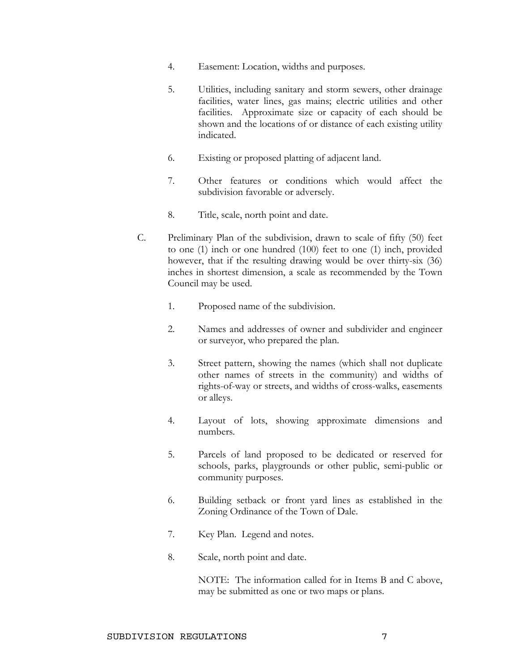- 4. Easement: Location, widths and purposes.
- Utilities, including sanitary and storm sewers, other drainage facilities, water lines, gas mains; electric utilities and other 5. Facilities, metaling saintary and storm sewers, other dramage<br>facilities. Water lines, gas mains; electric utilities and other<br>facilities. Approximate size or capacity of each should be reflectives, water mest, gas mains, electric durines and other<br>facilities. Approximate size or capacity of each should be<br>shown and the locations of or distance of each existing utility shown and the locations of or distance of each existing utility indicated.<br>6. Existing or proposed platting of adjacent land. marcarcu.
- 
- Other features or conditions which would affect the subdivision favorable or adversely. Subdivision favorable or adversely.<br>
8. Title, scale, north point and date.
- 
- Preliminary Plan of the subdivision, drawn to scale of fifty (50) feet to one (1) inch or one hundred (100) feet to one (1) inch, provided  $C$ . the remaining Figure 3.1 and or the subdivision, the win to search inty  $(30)$  feet to one (1) inch, provided bowever, that if the resulting drawing would be over thirty-six  $(36)$ to one (1) hen of one handled (100) feet to one (1) hen, provided<br>however, that if the resulting drawing would be over thirty-six  $(36)$ <br>inches in shortest dimension, a scale as recommended by the Town mowever, that if the result<br>inches in shortest dimension From De used.<br>
1. Proposed name of the subdivision.
	-
	- 2. Names and addresses of owner and subdivider and engineer<br>or surveyor, who prepared the plan.
	- Street pattern, showing the names (which shall not duplicate<br>other names of streets in the community) and widths of 3. other names of streets in the community) and widths of rights-of-way or streets, and widths of cross-walks, easements offer hands<br>rights-of-way<br>or alleys.
	- or ancys.<br>Layout of lots, showing approximate dimensions and  $\overline{4}$ . numbers.
	- Parcels of land proposed to be dedicated or reserved for schools, parks, playgrounds or other public, semi-public or s. Tarees of failed proposes schools, parks, playgrour
	- EUR COMMAND PUPOSES.<br>
	6. Building setback or front yard lines as established in the Zoning Ordinance of the Town of Dale. Zoning Ordinance of the Town of Dale.<br>7. Key Plan. Legend and notes.
	-
	- 8. Scale, north point and date.

beale, north point and date.<br>NOTE: The information called for in Items B and C above. TE: The information called for in Items F<br>be submitted as one or two maps or plans.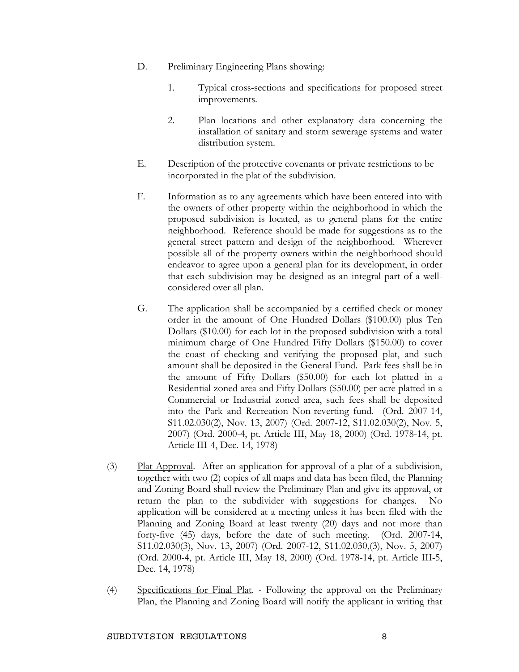- Preliminary Engineering Plans showing: D. 1.
	- mary engineering Pians showing:<br>Typical cross-sections and specifications for proposed street 1. improvements.
- Plan locations and other explanatory data concerning the installation of sanitary and storm sewerage systems and water 2. That locations and our<br>installation of sanitary a<br>distribution system.
- distribution system.<br>
E. Description of the protective covenants or private restrictions to be<br>
incorporated in the plat of the subdivision.
- Information as to any agreements which have been entered into with<br>the owners of other property within the neighborhood in which the  $F_{\cdot}$ mormation as to any agreements which have been entered into with<br>the owners of other property within the neighborhood in which the<br>proposed subdivision is located, as to general plans for the entire neighborhood. Reference should be made for suggestions as to the entire<br>neighborhood. Reference should be made for suggestions as to the proposed subdivision is located, as to general pains for the entire<br>neighborhood. Reference should be made for suggestions as to the<br>general street pattern and design of the neighborhood. Wherever programs as to the general street pattern and design of the neighborhood. Wherever<br>possible all of the property owners within the neighborhood should endeavor to agree upon a general plan for its development, in order possible an of the property owners whilm the neighborhood should<br>endeavor to agree upon a general plan for its development, in order<br>that each subdivision may be designed as an integral part of a wellthat each subdivision may be designed as an integral part of a well-considered over all plan.
- The application shallbe accompanied by <sup>a</sup> certified check or money order in the amount of One Hundred Dollars (\$100.00) plus Ten G. File application shall be accompanied by a certified crick of money<br>order in the amount of One Hundred Dollars (\$100.00) plus Ten<br>Dollars (\$10.00) for each lot in the proposed subdivision with a total older in the amount of One Francice Bonars (\$160.00) plus Fen<br>Dollars (\$10.00) for each lot in the proposed subdivision with a total<br>minimum charge of One Hundred Fifty Dollars (\$150.00) to cover  $\frac{1}{2}$  the coast of checking and verifying the proposed plat, and such the coast of checking and verifying the proposed plat, and such Aminimum enarge of One Francice Firty Donars (\$150.00) to cover<br>the coast of checking and verifying the proposed plat, and such<br>amount shall be deposited in the General Fund. Park fees shall be in amount shall be deposited in the General Fund. Park fees shall be in<br>the amount of Fifty Dollars (\$50.00) for each lot platted in a residential zoned area and Fifty Dollars (\$50.00) for each lot platted in a<br>Residential zoned area and Fifty Dollars (\$50.00) per acre platted in a The amount of Fity Bohars (\$90.00) for each for platted in a<br>Residential zoned area and Fifty Dollars (\$50.00) per acre platted in a<br>Commercial or Industrial zoned area, such fees shall be deposited Interactural and real and real and real control of personal personal commercial or Industrial zoned area, such fees shall be deposited<br>Short the Park and Recreation Non-reverting fund. (Ord. 2007-14, into the Park and Recreation Non-reverting fund. (Ord. 2007-14, S11.02.030(2), Nov. 13, 2007) (Ord. 2007-12, S11.02.030(2), Nov. 5, 2007) (Ord. 2000-4, pt. Article III, May 18, 2000) (Ord. 1978-14, pt. Article III-4, Dec. 14, 1978)
- Article III-4, Dec. 14, 1976)<br>Plat Approval. After an application for approval of a plat of a subdivision. roval. After an application for approval of a plat of a subdivision,<br>with two (2) copies of all maps and data has been filed, the Planning  $(3)$  $\frac{1}{\text{rad }2\text{pp}$  and  $\frac{1}{\text{rad }2\text{mp}}$  and  $\frac{1}{\text{rad }2\text{mp}}$  and  $\frac{1}{\text{rad }2\text{mp}}$  and  $\frac{1}{\text{rad }2\text{pm}}$  and  $\frac{1}{\text{rad }2\text{pm}}$  Board shall review the Preliminary Plan and give its approval, or return the plan to the subdivider with suggestions for changes. No<br>return the plan to the subdivider with suggestions for changes. No and 20th be plant of the subdivider with suggestions for changes. No<br>application will be considered at a meeting unless it has been filed with the Planning and Zoning Board at least twenty (20) days and not more than<br>Planning and Zoning Board at least twenty (20) days and not more than forty-five (45) days, before the date of such meeting. (Ord. 2007-14, and the date of such meeting. (Ord. 2007-14, forty-five  $(45)$  days, before the date of such meeting. (Ord. 2007-14, (Ord. 2007)<br>S11.02.030(3), Nov. 13, 2007) (Ord. 2007-12, S11.02.030,(3), Nov. 5, 2007)<br>(Ord. 2000-4, pt. Article III, May 18, 2000) (Ord. 1978-14, pt. Article III-5, (Ord. 2000-4, pt. Article III, May 18, 2000) (Ord. 1978-14, pt. Article III-5, Dec. 14, 1978)
- Specifications for Final Plat. Following the approval on the Preliminary Plan, the Planning and Zoning Board will notify the applicant in writing that $(4)$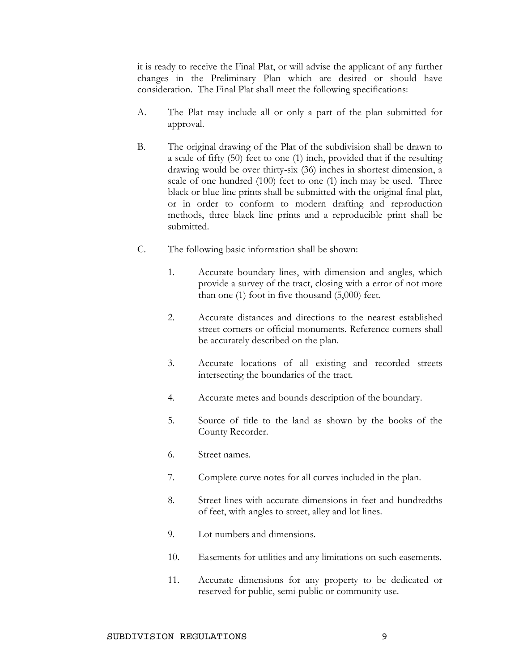is ready to receive the Final Plat, or will advise the applicant of any further changes in the Preliminary Plan which are desired or should have changes in the Preliminary Plan which are desired or should consideration. The Final Plat shall meet the following specifications: consideration. The Final Plat shall meet the following specifications:

- The Plat may include all or only a part of the plan submitted for  $A_{\cdot}$ approval.
- The original drawing of the Plat of the subdivision shall be drawn to<br>a scale of fifty (50) feet to one (1) inch, provided that if the resulting  $B<sub>r</sub>$ a scale of fifty (50) feet to one (1) inch, provided that if the resulting<br>drawing would be over thirty-six (36) inches in shortest dimension, a  $\alpha$  scale of may (50) feet to one (1) inch, provided that it the resulting<br>drawing would be over thirty-six (36) inches in shortest dimension, a<br>scale of one hundred (100) feet to one (1) inch may be used. Three  $\frac{1}{2}$  scale of one hundred (100) feet to one (1) inch may be used. Three black or blue line prints shall be submitted with the original final plat. black or blue line prints shall be submitted with the original final plat, methods, three black line prints and be subtracted with the original final plat, or in order to conform to modern drafting and reproduction methods, three black line prints and a reproducible print shall be methods, three black line prints and a reproducible print shall be  $\sum_{\text{S}}$
- The following basic information shall be shown:  $C_{\cdot}$ 1.
	- Accurate boundary lines, with dimension and angles, which provide <sup>a</sup> survey of the tract, closing with <sup>a</sup> error of not more than one (1) foot in five thousand (5,000) feet.
	- Accurate distances and directions to the nearest established street corners or official monuments. Reference corners shall street corners or official monuments. Reference corners shall 2. Accurate distances and directions the street corners or official monument be accurately described on the plan.
	- 3. Accurate locations of all existing and recorded streets intersecting the boundaries of the tract. intersecting the boundaries of the tract.<br>4. Accurate metes and bounds description of the boundary.
	-
	- Source of title to the land as shown by the books of the<br>County Recorder. County Recorder.<br>6. Street names.
	-
	- 7. Complete curve notes for all curves included in the plan.
	- Street lines with accurate dimensions in feet and hundredths<br>of feet, with angles to street, alley and lot lines. of feet, with angles to street, alley and lot lines.<br>9. 1. Lot numbers and dimensions.
	-
	- 10. Easements for utilities and any limitations on such easements.
	- Accurate dimensions for any property to be dedicated or reserved for public, semi-public or community use.11.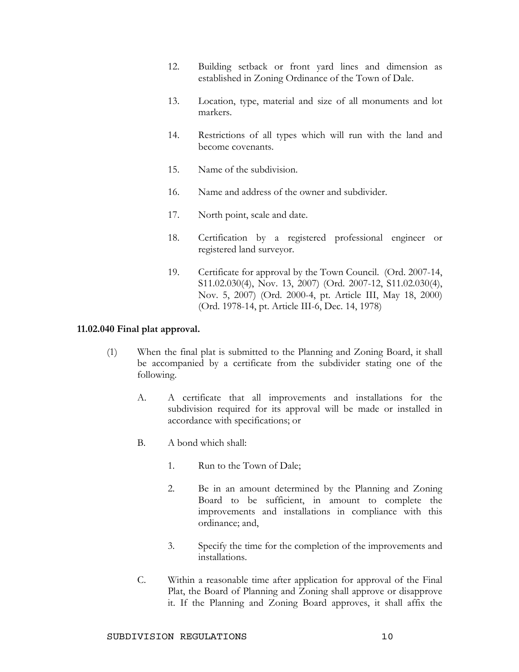- 12. Building setback or front yard lines and dimension as established in Zoning Ordinance of the Town of Dale.
- Location, type, material and size of all monuments and lot 13. mando.
- nancers.<br>
14. Restrictions of all types which will run with the land and become covenants. become covenants.<br>15. Name of the subdivision.
- 
- 16. Name and address of the owner and subdivider.
- 17. North point, scale and date.
- 18. Certification by a registered professional engineer or registered land surveyor.
- registered land surveyor.<br>Certificate for approval by the Town Council. (Ord. 2007-14, Certificate for approval by the Town Council. (Ord. 2007-14,<br>S11.02.030(4), Nov. 13, 2007) (Ord. 2007-12, S11.02.030(4), 19. S11.02.030(4), Nov. 13, 2007) (Ord. 2007-12, S11.02.030(4), ST1.62.656(1), TWO: 15, 2667) (Ord. 2667-12, 511.<br>Nov. 5, 2007) (Ord. 2000-4, pt. Article III, May<br>(Ord. 1978-14, pt. Article III-6, Dec. 14, 1978)

# **Final plat approval.**  $\overline{10}$

- When the final plat is submitted to the Planning and Zoning Board, it shall be accompanied by <sup>a</sup> certificate from the subdivider stating one of the  $(1)$ be accompanied by a certificate from the subdivider stating one of the following.
	- <sup>A</sup> certificate that all improvements and installations for the subdivision required for its approval will be made or installed in  $A_{\cdot}$ subdivision required for its approval<br>accordance with specifications; or
	- <sup>A</sup> bond which shall: **B.** 1.
		- Run to the Town of Dale; 2.
		- Be in an amount determined by the Planning and Zoning Board to be sufficient, in amount to complete the 2. Even an amount determined by the Framing and Zoning<br>Board to be sufficient, in amount to complete the<br>improvements and installations in compliance with this board to be sat<br>improvements and<br>ordinance; and,
	- Specify the time for the completion of the improvements and  $3.$ motanations.
	- Within areasonable time after application for approval of the Final Plat, the Board of Planning and Zoning shall approve or disapprove  $C_{\cdot}$ within a reasonable time after approach for approval of the Final<br>Plat, the Board of Planning and Zoning shall approve or disapprove<br>it. If the Planning and Zoning Board approves, it shall affix the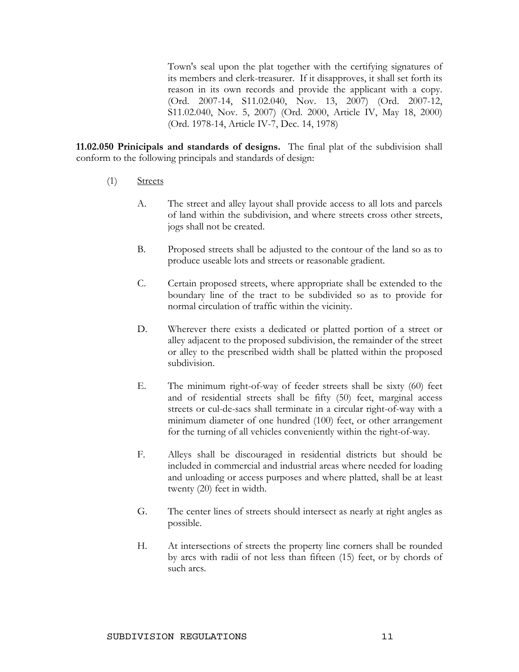Town's seal upon the plat together with the certifying signatures of its members and clerk-treasurer. If it disapproves, it shall set forth its its members and clerk-treasurer. If it disapproves, it shall set forth its FOWH'S sear upon the plat together with the eerthying signatures of<br>its members and clerk-treasurer. If it disapproves, it shall set forth its<br>reason in its own records and provide the applicant with a copy. 2007-14, S11.02.040, Nov. 13, 2007) (Ord. 2007-12, (Ord. 2007-14, S11.02.040, Nov. 13, 2007) (Ord. 2007-12, (Ord. 2007 11, 511.02.010, 1907. 13, 200<br>S11.02.040, Nov. 5, 2007) (Ord. 2000, Article<br>(Ord. 1978-14, Article IV-7, Dec. 14, 1978)

**Prinicipals and standards of designs.** The final plat of the subdivision shall conform to the following principals and standards of design: conform to the following principals and standards of design:

- Streets  $(1)$  $\frac{0}{2}$ 
	- The street and alley layout shall provide access to all lots and parcels<br>of land within the subdivision, and where streets cross other streets. A. The street and alley layout shall provide access to all lots and parcels of land within the subdivision, and where streets cross other streets, jogs shall not be created.
	- pogs shall not be created.<br>Proposed streets shall be adjusted to the contour of the land so as to B. Proposed streets shall be adjusted to the contour of the produce useable lots and streets or reasonable gradient.
	- Certain proposed streets, where appropriate shall be extended to the boundary line of the tract to be subdivided so as to provide for Exam proposed streets, where appropriate shall boundary line of the tract to be subdivided so<br>normal circulation of traffic within the vicinity.
	- Wherever there exists <sup>a</sup> dedicated or platted portion of <sup>a</sup> street or alley adjacent to the proposed subdivision, the remainder of the street D. wherever there exists a dedicated of platted portion of a street of<br>alley adjacent to the proposed subdivision, the remainder of the street<br>or alley to the prescribed width shall be platted within the proposed or alley to the prescribed width shall be platted within the proposed  $SU(1)$
	- The minimum right-of-way of feeder streets shall be sixty (60) feet and of residential streets shall be fifty (50) feet, marginal access Е. inc infinitum right of way of recent streets shall be sixty (60) feet<br>and of residential streets shall be fifty (50) feet, marginal access<br>streets or cul-de-sacs shall terminate in a circular right-of-way with a streets or cul-de-sacs shall terminate in a circular right-of-way with a minimum diameter of one hundred (100) feet, or other arrangement forces of ear de saes shall defining in a dictatal fight of way with a<br>minimum diameter of one hundred (100) feet, or other arrangement<br>for the turning of all vehicles conveniently within the right-of-way.
	- Alleys shall be discouraged in residential districts but should be included in commercial and industrial areas where needed for loading  $F_{\cdot}$ and unloading or access purposes and where platted, shall be at least and unloading or access purp<br>twenty (20) feet in width.
	- The center lines of streets should intersect as nearly at right angles as G. possible.
	- At intersections of streets the property line corners shall be rounded by arcs with radiiof not less than fifteen (15) feet, or by chords of H. by arcs with r<br>such arcs.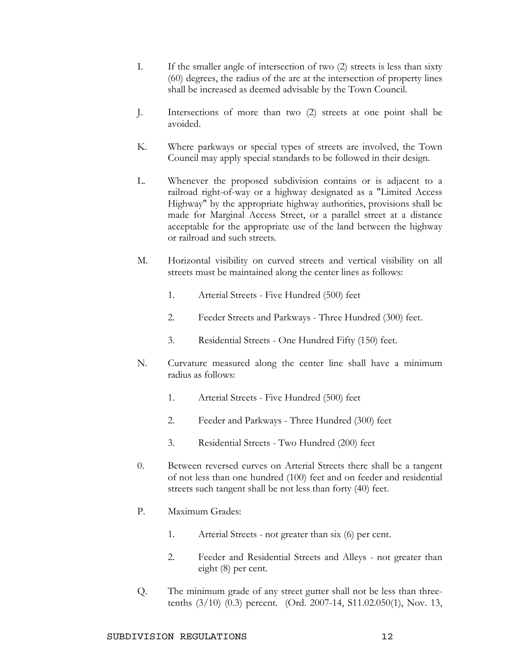- If the smaller angle of intersection of two (2) streets is less than sixty (60) degrees, the radius of the arc at the intersection of property lines I. shall be increased as deemed advisable by the Town Council.
- Intersections of more than two  $(2)$  streets at one point shall be  $\cdot$  $\alpha$  order.
- K. Where parkways or special types of streets are involved, the Town<br>Council may apply special standards to be followed in their design.
- Whenever the proposed subdivision contains or is adjacent to a Whenever the proposed subdivision contains or is adjacent to a<br>railroad right-of-way or a highway designated as a "Limited Access<br>Highway" by the appropriate highway authorities, provisions shall be L. manode fight of way of a highway designated as a "Enfined recess"<br>Highway" by the appropriate highway authorities, provisions shall be<br>made for Marginal Access Street, or a parallel street at a distance Fighway by the appropriate nighway additiontes, provisions shall be<br>made for Marginal Access Street, or a parallel street at a distance<br>acceptable for the appropriate use of the land between the highway acceptable for the appropriate<br>or railroad and such streets.
- Horizontal visibility on curved streets and vertical visibility on all streets must be maintained along the center lines as follows: M. streets must be maintained along the center lines as follows:
	- Arterial Streets Five Hundred (500) feet 2.
	- 2. Feeder Streets and Parkways Three Hundred (300) feet.
	- 3. Residential Streets One Hundred Fifty (150) feet.
- Curvature measured along the center line shall have <sup>a</sup> minimum radius as follows: N. radius as follows:
	- Arterial Streets Five Hundred (500) feet  $\ddot{\phantom{0}}$
	- Feeder and Parkways Three Hundred (300) feet 2.
	- Residential Streets Two Hundred (200) feet
- Between reversed curves on Arterial Streets there shall be <sup>a</sup> tangent of not less than one hundred (100) feet and on feeder and residential streets such tangent shall be not less than forty (40) feet.
- Maximum Grades:  $P_{\rm L}$  $\overline{1}$ 
	- Arterial Streets not greater than six (6) per cent. 2.
- Find the streets that streets and per cent.<br>
2. Feeder and Residential Streets and Alleys not greater than eight (8) per cent.
- The minimum grade of any street gutter shall not be less than three-tenths (3/10) (0.3) percent. (Ord. 2007-14, S11.02.050(1), Nov. 13,Q.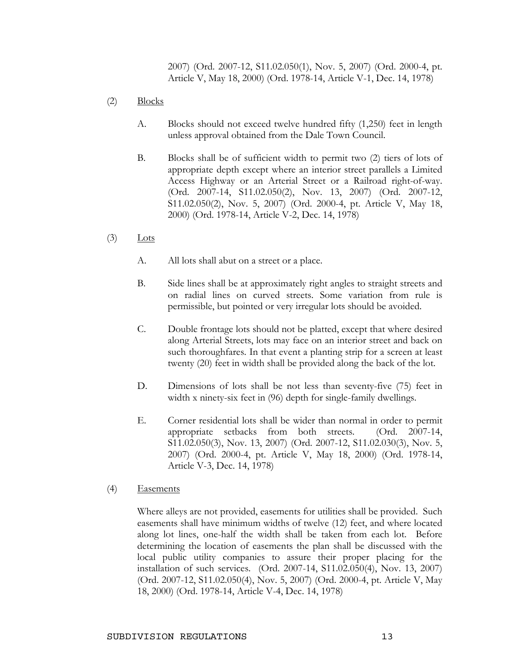(Ord. 2007-12, S11.02.050(1), Nov. 5, 2007) (Ord. 2000-4, pt. Ord. 2007-12, S11.02.050(1), Nov. 5, 2007) (Ord. 2000-4, pt.<br>V, May 18, 2000) (Ord. 1978-14, Article V-1, Dec. 14, 1978)

- expressed to the control<br>Blocks  $(2)$  $\frac{1}{4}$ 
	- products<br>Blocks should not exceed twelve hundred fifty (1.250) feet in length A. Blocks should not exceed twelve hundred fifty (1,250) unless approval obtained from the Dale Town Council.
	- Blocks shall be of sufficient width to permit two (2) tiers of lots of appropriate depth except where an interior street parallels <sup>a</sup> Limited **B.** Access Highway or an Arterial Street or a Railroad right-of-way. Access Highway or an Arterial Street or a Railroad right-of-way. (Ord. 2007-14, S11.02.050(2), Nov. 13, 2007) (Ord. 2007-12, S11.02.050(2), Nov. 5, 2007) (Ord. 2000-4, pt. Article V, May 18, 2000) (Ord. 1978-14, Article V-2, Dec. 14, 1978) Lots
- $(3)$  $\overline{A}$ 
	- A. All lots shall abut on a street or a place.
	- Side lines shall be at approximately right angles to straight streets and on radial lines on curved streets. Some variation from rule is on radial lines on curved streets. Some variation from rule is B. Side lines shall be at approximately right angles to straight streets on radial lines on curved streets. Some variation from ru permissible, but pointed or very irregular lots should be avoided.
	- Double frontage lots should not be platted, except that where desired along Arterial Streets, lots may face on an interior street and back on  $C_{\cdot}$ Bouble fromage folls should not be platted, except that where desired<br>along Arterial Streets, lots may face on an interior street and back on<br>such thoroughfares. In that event a planting strip for a screen at least the shall be provided along the back of the lot.<br>such thoroughfares. In that event a planting strip for a screen at least<br>twenty (20) feet in width shall be provided along the back of the lot.
	- Dimensions of lots shall be not less than seventy-five (75) feet in D. Dimensions of lots shall be not less than seventy-five (75) f width x ninety-six feet in (96) depth for single-family dwellings.
	- Corner residential lots shall be wider than normal in order to permit<br>
	appropriate setbacks from both streets. (Ord. 2007-14,  $E_{\rm L}$ EXECUTE ESSECTIVE SCHOOLS START DE WILL THAT HOTHER IN OTHER TO PETTING<br>
	S11.02.050(3), Nov. 13, 2007) (Ord. 2007-12, S11.02.030(3), Nov. 5, (Ord. 2007)<br>
	S11.02.050(3), Nov. 13, 2007) (Ord. 2007-12, S11.02.030(3), Nov. 5,<br>
	2007) (Ord. 2000-4, pt. Article V, May 18, 2000) (Ord. 1978-14, 2007) (Ord. 2000-4, pt. Article V, May 18, 2000) (Ord. 1978-14, Article V-3, Dec. 14, 1978) Easements

#### $(4)$ Laschi

Easements<br>Where alleys are not provided, easements for utilities shall be provided. Such<br>easements shall have minimum widths of twelve (12) feet, and where located Along lot lines, one-half the width shall be taken from each lot. Before determining the location of easements the plan shall be discussed with the determining the location of easements the plan shall be discussed with the determining the location of easements the plan shall be discussed with the local public utility companies to assure their proper placing for the installation of such services. (Ord. 2007-14, S11.02.050(4), Nov. 13, 2007) Fraction of such services. (Ord. 2007-14, S11.02.050(4), Nov. 13, 2007)<br>(Ord. 2007-12, S11.02.050(4), Nov. 5, 2007) (Ord. 2000-4, pt. Article V, May (Ord. 2007-12, S11.02.050(4), Nov. 5, 2007) (Ord. 2000-4, pt. Article V, May 2000) (Ord. 1978-14, Article V-4, Dec. 14, 1978)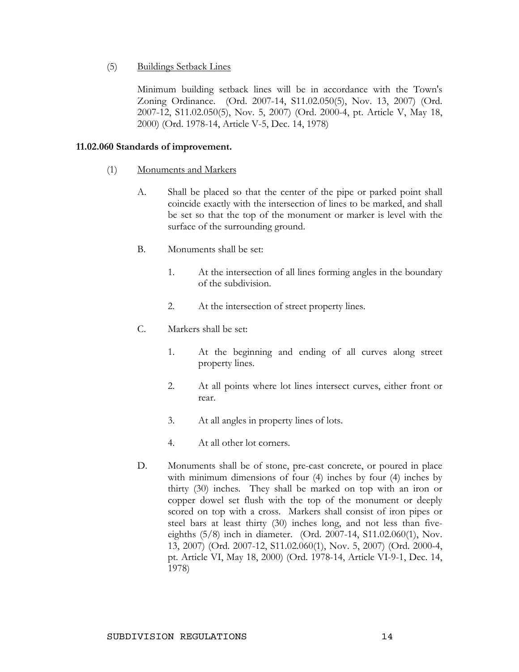### Buildings Setback Lines  $(5)$ <u>Dunumgs</u>

Minimum building setback lines will be in accordance with the Town's<br>Zoning Ordinance. (Ord. 2007-14, S11.02.050(5), Nov. 13, 2007) (Ord. Zoning Ordinance. (Ord. 2007-14, S11.02.050(5), Nov. 13, 2007) (Ord. 2007-12, S11.02.050(5), Nov. 5, 2007) (Ord. 2000-4, pt. Article V, May 18, 2000) (Ord. 1978-14, Article V-5, Dec. 14, 1978)

# **Standards of improvement.**  $\overline{\phantom{a}}$

- Monuments and Markers  $(1)$  $\frac{1}{4}$ 
	- Shall be placed so that the center of the pipe or parked point shall<br>coincide exactly with the intersection of lines to be marked, and shall A. be set so that the enter of the pipe of parked point shall<br>be set so that the top of the monument or marker is level with the be set so that the top of the monume<br>surface of the surrounding ground.
	- Monuments shall be set: **B.**  $\overline{1}$ 
		- At the intersection of all lines forming angles in the boundary<br>of the subdivision. of the subdivision.<br>2. At the intersection of street property lines.
		-
	- Markers shall be set:  $C_{\cdot}$  $\overline{1}$ 
		- At the beginning and ending of all curves along street<br>property lines.
		- property mes.<br>At all points where lot lines intersect curves, either front or 2. tear.<br>
		3. At all angles in property lines of lots. icai.
		-
		- 4. At all other lot corners.
	- Monuments shall be of stone, pre-cast concrete, or poured in place with minimum dimensions of four (4) inches by four (4) inches by D. with minimum dimensions of four  $(4)$  inches by four  $(4)$  inches by thirty  $(30)$  inches. They shall be marked on top with an iron or with minimum dimensions of four  $(y)$  includes by four  $(y)$  includes by thirty (30) inches. They shall be marked on top with an iron or copper dowel set flush with the top of the monument or deeply example of the monument or deeply<br>scored on top with a cross. Markers shall consist of iron pipes or scored on top with a cross. Markers shall consist of iron pipes or steel bars at least thirty (30) inches long, and not less than fivesteel bars at least thirty (30) inches long, and not less than fiveeighths  $(5/8)$  inch in diameter. (Ord. 2007-14, S11.02.060(1), Nov. 13, 2007) (Ord. 2007-12, S11.02.060(1), Nov. 5, 2007) (Ord. 2000-4, pt. Article VI, May 18, 2000) (Ord. 1978-14, Article VI-9-1, Dec. 14, 1978)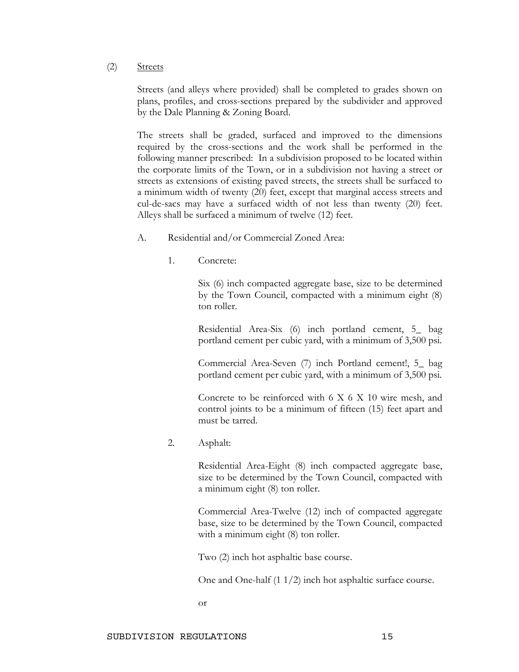### Streets  $(2)$ Streets

Streets (and alleys where provided) shall be completed to grades shown on<br>plans, profiles, and cross-sections prepared by the subdivider and approved plans, profiles, and cross-sections prepared<br>by the Dale Planning & Zoning Board.

 streets shall be graded, surfaced and improved to the dimensions required by the cross-sections and the work shall be performed in the following manner prescribed: In a subdivision proposed to be located within following manner prescribed: In a subdivision proposed to be located within following manner prescribed: In a subdivision proposed to be located within<br>the corporate limits of the Town, or in a subdivision not having a street or<br>streets as extensions of existing paved streets, the streets shall be a minimum width of twenty (20) feet, except that marginal access streets and<br>a minimum width of twenty (20) feet, except that marginal access streets and a minimum width of twenty (20) feet, except that marginal access streets and<br>cul-de-sacs may have a surfaced width of not less than twenty (20) feet. cul-de-sacs may have a surfaced width of not less than twenty (20) feet.<br>Alleys shall be surfaced a minimum of twelve (12) feet.

- Residential and/or Commercial Zoned Area: A. 1.
	- $\mathbf{1}$  Concrete:  $\sim$

concrete.<br>Six (6) inch compacted aggregate base, size to be determined Six (6) inch compacted aggregate base, size to be determined<br>by the Town Council, compacted with a minimum eight (8)<br>ton roller.

Residential Area-Six (6) inch portland cement, 5 bag<br>portland cement per cubic yard, with a minimum of 3,500 psi.

Fortland cement per cubic yard, with a minimum of 3,500 psi.<br>Commercial Area-Seven (7) inch Portland cement!, 5\_ bag<br>portland cement per cubic yard, with a minimum of 3,500 psi.

portaand center per cable yard, with a minimum of 5,500 psi.<br>Concrete to be reinforced with 6 X 6 X 10 wire mesh, and<br>control joints to be a minimum of fifteen (15) feet apart and concrete to be fer-<br>control joints to be<br>must be tarred.

 Asphalt:  $2.$ respirant.

Asphait.<br>Residential Area-Eight (8) inch compacted aggregate base. dential Area-Eight (8) inch compacted aggregate base,<br>to be determined by the Town Council, compacted with size to be determined by the Town<br>a minimum eight  $(8)$  ton roller.

a minimum eight (o) ton roner.<br>Commercial Area-Twelve (12) inch of compacted aggregate<br>base, size to be determined by the Town Council, compacted base, size to be determined by the Tows<br>with a minimum eight  $(8)$  ton roller. with a minimum eight  $(8)$  ton roller.<br>Two  $(2)$  inch hot asphaltic base course.

One and One-half  $(1 1/2)$  inch hot asphaltic surface course.

**or**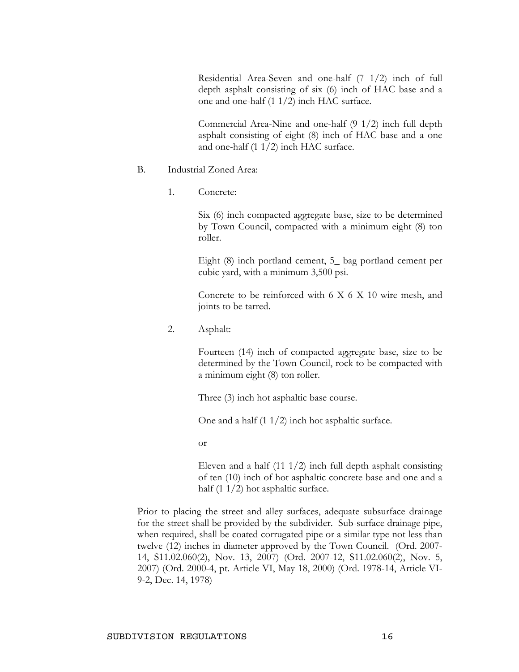Area-Seven and one-half (7 1/2) inch of full depth asphalt consisting of six (6) inch of HAC base and <sup>a</sup> depth asphalt consisting of six (6) inch of HA one and one-half  $(1 1/2)$  inch HAC surface.

Commercial Area-Nine and one-half  $(9 \frac{1}{2})$  inch full depth<br>asphalt consisting of eight  $(8)$  inch of HAC base and a one commercial treat twice and one half  $(9 \text{ m})$ <br>and one-half  $(1 \text{ 1/2})$  inch HAC surface.

### and one han (1172)<br>Industrial Zoned Area: **B.** 1.

 Concrete:  $1<sub>1</sub>$  $\sim$ 

 (6) inch compacted aggregate base, size to be determined by Town Council, compacted with aminimum eight (8) ton by Town Council, compacted with a minimum eight (8) ton roller.

Eight (8) inch portland cement, 5\_ bag portland cement per<br>cubic yard, with a minimum 3,500 psi.

Concrete to be reinforced with 6 X 6 X 10 wire mesh, and joints to be tarred.

 Asphalt:  $2.$ rtspriant.

 (14) inch of compacted aggregate base, size to be determined by the Town Council, rock to be compacted with determined by the Town Council, a minimum eight  $(8)$  ton roller.  $a$  minimum eight  $(8)$  ton roller.<br>Three  $(3)$  inch hot asphaltic base course.

One and a half  $(1 1/2)$  inch hot asphaltic surface.

 $\overline{C}$ 

 and ahalf (11 1/2) inch full depth asphalt consisting of ten (10) inch of hot asphaltic concrete base and one and <sup>a</sup> the venture at that  $(1\ 1/2)$  then tun<br>of ten (10) inch of hot asphaltic cone<br>half (1 1/2) hot asphaltic surface.

Frior to placing the street and alley surfaces, adequate subsurface drainage<br>for the street shall be provided by the subdivider. Sub-surface drainage pipe. for the street shall be provided by the subdivider. Sub-surface drainage pipe, tor the street shall be provided by the subdivider. Sub-strike dramage pipe,<br>when required, shall be coated corrugated pipe or a similar type not less than<br>twelve (12) inches in diameter approved by the Town Council. (Ord. twelve (12) inches in diameter approved by the Town Council. (Ord. 2007-14, S11.02.060(2), Nov. 13, 2007) (Ord. 2007-12, S11.02.060(2), Nov. 5, 2007) (Ord. 2000-4, pt. Article VI, May 18, 2000) (Ord. 1978-14, Article VI-9-2, Dec. 14, 1978)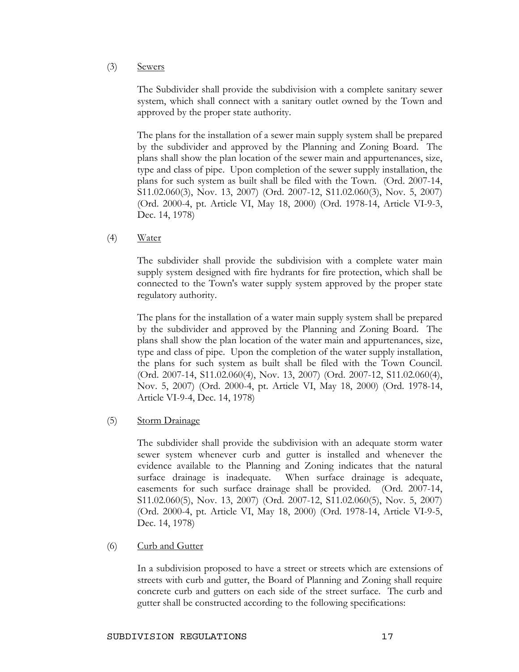### Sewers  $(3)$  $\frac{1}{2}$

The Subdivider shall provide the subdivision with a complete sanitary sewer<br>system, which shall connect with a sanitary outlet owned by the Town and approved by the proper state authority.

 plans for the installation of <sup>a</sup> sewer main supply system shall be prepared by the subdivider and approved by the Planning and Zoning Board. The plans for the installation of a sewer main supply system shall be prepared<br>by the subdivider and approved by the Planning and Zoning Board. The<br>plans shall show the plan location of the sewer main and appurtenances, size, plans shall show the plan location of the sewer main and appurtenances, size, plans shall show the plan location of the sewer main and appurentances, size, type and class of pipe. Upon completion of the sewer supply installation, the plans for such system as built shall be filed with the Town. (Ord. plans for such system as built shall be filed with the Town. (Ord. 2007-14, plans for such system as built shall be filed with the Town. (Ord. 2007-11,<br>S11.02.060(3), Nov. 13, 2007) (Ord. 2007-12, S11.02.060(3), Nov. 5, 2007)<br>(Ord. 2000-4, pt. Article VI, May 18, 2000) (Ord. 1978-14, Article VI-9-(Ord. 2000-4, pt. Article VI, May 18, 2000) (Ord. 1978-14, Article VI-9-3, Dec. 14, 1978)

Dec. 11, 127<br>Water  $(4)$  $\frac{W}{A}$ 

water<br>The subdivider shall provide the subdivision with a complete water main<br>supply system designed with fire hydrants for fire protection, which shall be rhe subdivider shan provide the subdivision with a complete water main<br>supply system designed with fire hydrants for fire protection, which shall be<br>connected to the Town's water supply system approved by the proper state supply system designed<br>connected to the Town's<br>regulatory authority.

 plans for the installation of <sup>a</sup> water main supply system shall be prepared by the subdivider and approved by the Planning and Zoning Board. The plans for the installation of a water main supply system shall be prepared<br>by the subdivider and approved by the Planning and Zoning Board. The<br>plans shall show the plan location of the water main and appurtenances, size, plans shall show the plan location of the water main and appurtenances, size, type and class of pipe. Upon the completion of the water supply installation, the plans for such system as built shall be filed with the Town Council. (Ord. 2007-14, S11.02.060(4), Nov. 13, 2007) (Ord. 2007-12, S11.02.060(4), Nov. 5, 2007) (Ord. 2000-4, pt. Article VI, May 18, 2000) (Ord. 1978-14, Article VI-9-4, Dec. 14, 1978)

Storm Drainage  $(5)$  $\frac{1}{2}$ 

The subdivider shall provide the subdivision with an adequate storm water<br>sewer system whenever curb and gutter is installed and whenever the ever system whenever curb and gutter is installed and whenever the evidence available to the Planning and Zoning indicates that the natural sewer system whenever can and gatter is instance and whenever the<br>evidence available to the Planning and Zoning indicates that the natural<br>surface drainage is inadequate. When surface drainage is adequate. for such surface drainage is inadequate. When surface drainage is adequate,<br>easements for such surface drainage shall be provided. (Ord. 2007-14, See is madequate. When surface dramage is adequate,<br>such surface dramage shall be provided. (Ord. 2007-14,<br>Nov. 13, 2007) (Ord. 2007-12, S11.02.060(5), Nov. 5, 2007) easements for such surface dramage shan be provided. (Ord. 2007-14, S11.02.060(5), Nov. 5, 2007)<br>S11.02.060(5), Nov. 13, 2007) (Ord. 2007-12, S11.02.060(5), Nov. 5, 2007)<br>(Ord. 2000-4, pt. Article VI. May 18, 2000) (Ord. 1 (Ord. 2000-4, pt. Article VI, May 18, 2000) (Ord. 1978-14, Article VI-9-5, Dec. 14, 1978)

Dee: 11, 1970*j*<br>Curb and Gutter  $(6)$  $\overline{a}$ 

In a subdivision proposed to have a street or streets which are extensions of<br>streets with curb and gutter, the Board of Planning and Zoning shall require If a subdivision proposed to have a street or streets which are extensions of<br>streets with curb and gutter, the Board of Planning and Zoning shall require<br>concrete curb and gutters on each side of the street surface. The c gutter shall be constructed according to the following specifications:<br>gutter shall be constructed according to the following specifications: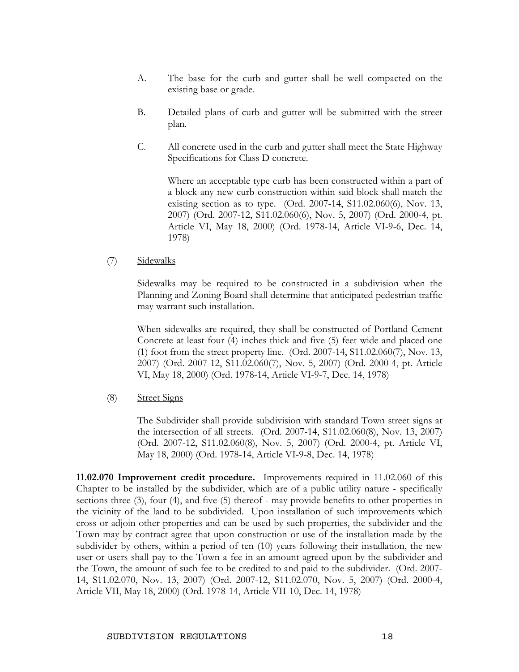- A. The base for the curb and gutter shall be well compacted on the existing base or grade.
- Existing base of gracie.<br>Detailed plans of curb and gutter will be submitted with the street  $B<sub>r</sub>$  $P<sub>1411</sub>$
- All concrete used in the curb and gutter shall meet the State Highway<br>Specifications for Class D concrete.  $C_{\cdot}$

 an acceptable type curb has been constructed within <sup>a</sup> part of a block any new curb construction within said block shall match the existing section as to type can has been constructed within a part of<br>existing section as to type. (Ord. 2007-14, S11.02.060(6), Nov. 13, existing section as to type. (Ord. 2007-14,  $$11.02.060(6)$ , Nov. 13, 2007) (Ord. 2007-12, S11.02.060(6), Nov. 5, 2007) (Ord. 2000-4, pt.<br>Article VI, May 18, 2000) (Ord. 1978-14, Article VI-9-6, Dec. 14,

 Sidewalks  $(7)$ <u>Side walks</u>

<u>sidewalks</u><br>Sidewalks may be required to be constructed in a subdivision when the Sidewalks may be required to be constructed in a subdivision when the Planning and Zoning Board shall determine that anticipated pedestrian traffic may warrant such installation.

 sidewalks are required, they shall be constructed of Portland Cement Concrete at least four (4) inches thick and five (5) feet wide and placed one (1) foot from the street property line. (Ord. 2007-14, S11.02.060(7), Nov. 13, (1) foot from the street property line. (Ord. 2007-14,  $$11.02.060(7)$ , Nov. 13, (1) 100t hom the street property line. (Ord. 2007-14, 311.02.000(7), 1<br>2007) (Ord. 2007-12, S11.02.060(7), Nov. 5, 2007) (Ord. 2000-4, pt<br>VI. May 18, 2000) (Ord. 1978-14, Article VI-9-7, Dec. 14, 1978)

v1, may 10, 2000)<br>Street Signs  $(8)$  $\frac{1}{\sqrt{2}}$ 

The Subdivider shall provide subdivision with standard Town street signs at<br>the intersection of all streets. (Ord. 2007-14, S11.02.060(8), Nov. 13, 2007) the intersection of all streets. (Ord. 2007-14, S11.02.060(8), Nov. 13, 2007) 2007-12, S11.02.060(8), Nov. 5, 2007) (Ord. 2000-4, pt. Article VI, May 2007-12, S11.02.060(8), Nov. 5, 2007) 18, 2007-12, S11.02.060(8), Nov. 5, 2007) (Ord. 2000-4, pt. 18, 2000) (Ord. 1978-14, Article VI-9-8, Dec. 14, 1978)

**Imay** 10, 2000) (Ord. 1970 11, Trider v190, Dec. 11, 1970)<br> **I1.02.070 Improvement credit procedure.** Improvements required in 11.02.060 of this<br>
Chapter to be installed by the subdivider, which are of a public utility na Chapter to be installed by the subdivider, which are of a public utility nature - specifically sections three  $(3)$ , four  $(4)$ , and five  $(5)$  thereof - may provide benefits to other properties in Enapter to be instanct by the subdivided, which are of a public dumy haddle - specifically sections three  $(3)$ , four  $(4)$ , and five  $(5)$  thereof - may provide benefits to other properties in the vicinity of the land to cross or adjoin other properties and can be used by such properties, the subdivider and the cross or adjoin other properties and can be used by such properties, the subdivider and the Town may by contract agree that upon construction or use of the installation made by the<br>Town may by contract agree that upon construction or use of the installation made by the subdivider by ontract agree that upon construction or use of the installation made by the<br>subdivider by others, within a period of ten (10) years following their installation, the new user or users shall pay to the Town a fee in an amount agreed upon by the subdivider and<br>user or users shall pay to the Town a fee in an amount agreed upon by the subdivider and the Town, the amount of such fee to be credited to and paid to the subdivider. (Ord. 2007-<br>the Town, the amount of such fee to be credited to and paid to the subdivider. (Ord. 2007the Town, the amount of such fee to be credited to and paid to the subdivider. (Ord. 2007-14, S11.02.070, Nov. 13, 2007) (Ord. 2007-12, S11.02.070, Nov. 5, 2007) (Ord. 2000-4, Article VII, May 18, 2000) (Ord. 1978-14, Article VII-10, Dec. 14, 1978)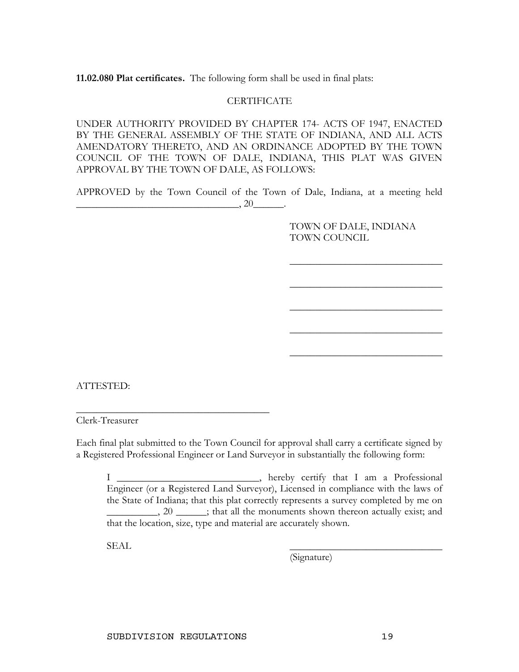**Plat certificates.** The following form shall be used in final plats: wing tonn snan

CERTIFICATE<br>UNDER AUTHORITY PROVIDED BY CHAPTER 174- ACTS OF 1947, ENACTED UNDER AUTHORITY PROVIDED BY CHAPTER 174- ACTS OF 1947, ENACTED<br>BY THE GENERAL ASSEMBLY OF THE STATE OF INDIANA, AND ALL ACTS<br>AMENDATORY THERETO. AND AN ORDINANCE ADOPTED BY THE TOWN FT THE GENERAL ASSEMBLY OF THE STATE OF INDIANA, AND ALL ACTS<br>AMENDATORY THERETO, AND AN ORDINANCE ADOPTED BY THE TOWN<br>COUNCIL OF THE TOWN OF DALE. INDIANA. THIS PLAT WAS GIVEN AMERICAL OF THE TOWN OF DALE, INDIANA, THE TOWN OF DALE, AS FOLLOWS: APPROVAL BY THE TOWN OF DALE, AS FOLLOWS:

by the Town Council of the Town of Dale, Indiana, at <sup>a</sup> meeting held \_\_\_\_\_\_\_\_\_\_\_\_\_\_\_\_\_\_\_\_\_\_\_\_\_\_\_\_\_\_\_\_, 20\_\_\_\_\_\_. TOWN

TOWN OF DALE, INDIANA<br>TOWN COUNCIL  $I$ UWIN COUNCIL

 $\overline{\phantom{a}}$ 

 $\overline{\phantom{a}}$ 

 $\overline{\phantom{a}}$ 

 $\overline{\phantom{a}}$ 

 $\blacksquare$ 

Clerk-Treasurer

 final plat submitted to the Town Council for approval shall carry <sup>a</sup> certificate signed by a Registered Professional Engineer or Land Surveyor in substantially the following form: a Registered Professional Engineer or Land Surveyor in substantially the following form:

 \_\_\_\_\_\_\_\_\_\_\_\_\_\_\_\_\_\_\_\_\_\_\_\_\_\_\_\_, hereby certify that <sup>I</sup> am <sup>a</sup> Professional  $\mathbf{I}$ I<br>
Engineer (or a Registered Land Surveyor), Licensed in compliance with the laws of<br>
the State of Indiana: that this plat correctly represents a survey completed by me on  $\frac{1}{20}$  a Registered Eand Surveyor), Electrical in complements with the laws of the State of Indiana; that this plat correctly represents a survey completed by me on  $\cdot$  20  $\cdot$ ; that all the monuments shown thereon a  $\frac{1}{100}$ ,  $\frac{1}{20}$ ,  $\frac{1}{20}$ ,  $\frac{1}{100}$ , size, type and material are accurately shown.  $\sum_{i=1}^{n}$ 

**SEAL** 

(Signature)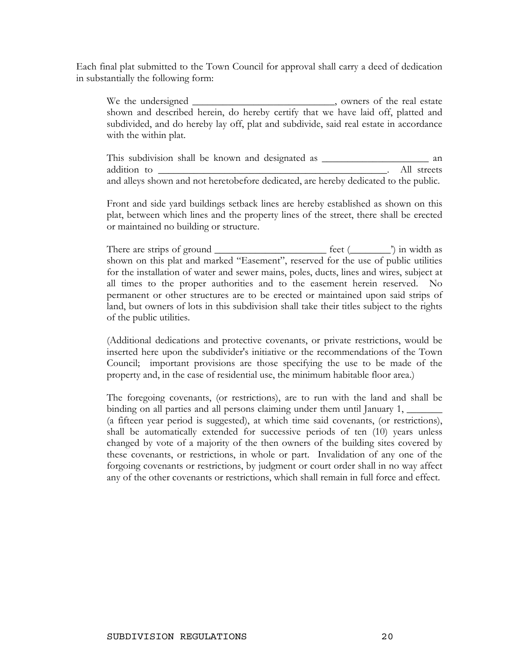final plat submitted to the Town Council for approval shall carry <sup>a</sup> deed of dedication in substantially the following form: in substantially the following form:

the undersigned and the undersigned and the undersigned and the undersigned and  $\alpha$ . owners of the real estate We the undersigned and described herein, do hereby certify that we have laid off, platted and shown and described herein, do hereby certify that we have laid off, platted and subdivided, and do hereby lay off, plat and subdivide, said real estate in accordance shown and desensed in<br>subdivided, and do herel<br>with the within plat.

 subdivision shall be known and designated as \_\_\_\_\_\_\_\_\_\_\_\_\_\_\_\_\_\_\_\_\_ an addition to \_\_\_\_\_\_\_\_\_\_\_\_\_\_\_\_\_\_\_\_\_\_\_\_\_\_\_\_\_\_\_\_\_\_\_\_\_\_\_\_\_\_\_\_\_. All streets andalleys shown and notheretobefore dedicated, are hereby dedicated to the public. Front

 and side yard buildings setback lines are hereby established as shown on this plat, between which lines and the property lines of the street, there shall be erected Front and side yard buildings setback line<br>plat, between which lines and the property<br>or maintained no building or structure.

 are strips of ground \_\_\_\_\_\_\_\_\_\_\_\_\_\_\_\_\_\_\_\_\_\_ feet (\_\_\_\_\_\_\_\_í) in width as shown on this plat and marked ìEasementî, reserved for the use of public utilities for the installation of water and sewer mains, poles, ducts, lines and wires, subject at the installation of water and sewer mains, poles, ducts, lines and wires, subject at all times to the proper authorities and to the easement herein reserved. No<br>all times to the proper authorities and to the easement herein reserved. No permanent or other structures are to be erected or maintained upon said strips of permanent or other structures are to be erected or maintained upon said strips of land, but owners of lots in this subdivision shall take their titles subject to the rights<br>and, but owners of lots in this subdivision shall take their titles subject to the rights permanent of other structured.<br>land, but owners of lots is<br>of the public utilities. of the public utilities.

 dedications and protective covenants, or private restrictions, would be inserted here upon the subdivider's initiative or the recommendations of the Town Counciliant determines and protective covenants, or private restrictions, would be<br>inserted here upon the subdivider's initiative or the recommendations of the Town<br>Council: important provisions are those specifying the us property and, in the case of residential use, the minimum habitable floor area.) property and, in the case of residential use, the minimum habitable floor area.)

Froperty and, in the case of restatential use, the minimum nabriable hoor area.)<br>The foregoing covenants, (or restrictions), are to run with the land and shall be<br>binding on all parties and all persons claiming under them (a fifteen year period issuggested), at which time said covenants, (or restrictions), shall(a fifteen year period is suggested), at which time said covenants, (or restrictions), (a meeting period is suggested), at which time said covenants, (or restrictions),<br>shall be automatically extended for successive periods of ten (10) years unless<br>changed by vote of a majority of the then owners of the buil  $t$  changed by vote of a majority of the then owners of the building sites covered by these covenants, or restrictions, in whole or part. Invalidation of any one of the forgoing covenants, or restrictions, in whole or part. Invalidation of any one of the forgoing covenants or restrictions, by judgment or court order shall in no way affect ance covenants, or restrictions, in whole or part. Invandation or any one or the original forgoing covenants or restrictions, by judgment or court order shall in no way affect any of the other covenants or restrictions, wh